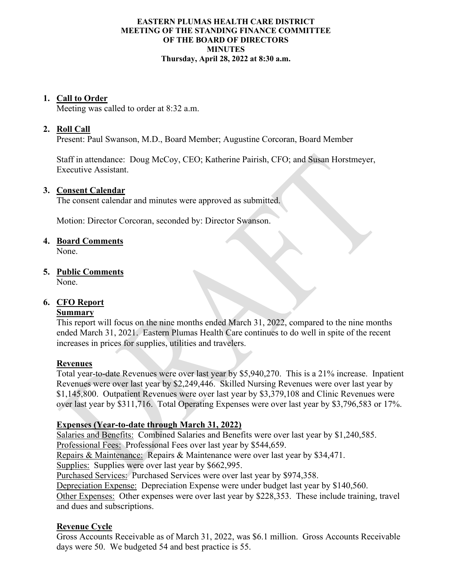#### **EASTERN PLUMAS HEALTH CARE DISTRICT MEETING OF THE STANDING FINANCE COMMITTEE OF THE BOARD OF DIRECTORS MINUTES Thursday, April 28, 2022 at 8:30 a.m.**

### **1. Call to Order**

Meeting was called to order at 8:32 a.m.

## **2. Roll Call**

Present: Paul Swanson, M.D., Board Member; Augustine Corcoran, Board Member

Staff in attendance: Doug McCoy, CEO; Katherine Pairish, CFO; and Susan Horstmeyer, Executive Assistant.

#### **3. Consent Calendar**

The consent calendar and minutes were approved as submitted.

Motion: Director Corcoran, seconded by: Director Swanson.

### **4. Board Comments**

None.

## **5. Public Comments**

None.

# **6. CFO Report**

#### **Summary**

This report will focus on the nine months ended March 31, 2022, compared to the nine months ended March 31, 2021. Eastern Plumas Health Care continues to do well in spite of the recent increases in prices for supplies, utilities and travelers.

## **Revenues**

Total year-to-date Revenues were over last year by \$5,940,270. This is a 21% increase. Inpatient Revenues were over last year by \$2,249,446. Skilled Nursing Revenues were over last year by \$1,145,800. Outpatient Revenues were over last year by \$3,379,108 and Clinic Revenues were over last year by \$311,716. Total Operating Expenses were over last year by \$3,796,583 or 17%.

## **Expenses (Year-to-date through March 31, 2022)**

Salaries and Benefits: Combined Salaries and Benefits were over last year by \$1,240,585. Professional Fees: Professional Fees over last year by \$544,659.

Repairs & Maintenance: Repairs & Maintenance were over last year by \$34,471.

Supplies: Supplies were over last year by \$662,995.

Purchased Services: Purchased Services were over last year by \$974,358.

Depreciation Expense: Depreciation Expense were under budget last year by \$140,560.

Other Expenses: Other expenses were over last year by \$228,353. These include training, travel and dues and subscriptions.

## **Revenue Cycle**

Gross Accounts Receivable as of March 31, 2022, was \$6.1 million. Gross Accounts Receivable days were 50. We budgeted 54 and best practice is 55.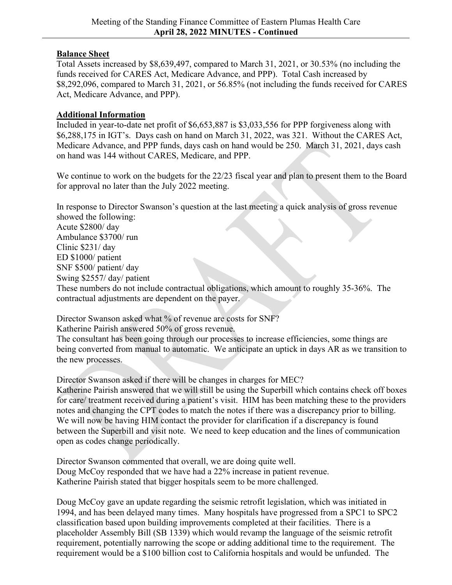## **Balance Sheet**

Total Assets increased by \$8,639,497, compared to March 31, 2021, or 30.53% (no including the funds received for CARES Act, Medicare Advance, and PPP). Total Cash increased by \$8,292,096, compared to March 31, 2021, or 56.85% (not including the funds received for CARES Act, Medicare Advance, and PPP).

## **Additional Information**

Included in year-to-date net profit of \$6,653,887 is \$3,033,556 for PPP forgiveness along with \$6,288,175 in IGT's. Days cash on hand on March 31, 2022, was 321. Without the CARES Act, Medicare Advance, and PPP funds, days cash on hand would be 250. March 31, 2021, days cash on hand was 144 without CARES, Medicare, and PPP.

We continue to work on the budgets for the 22/23 fiscal year and plan to present them to the Board for approval no later than the July 2022 meeting.

In response to Director Swanson's question at the last meeting a quick analysis of gross revenue showed the following:

Acute \$2800/ day Ambulance \$3700/ run Clinic \$231/ day ED \$1000/ patient SNF \$500/ patient/ day Swing \$2557/ day/ patient

These numbers do not include contractual obligations, which amount to roughly 35-36%. The contractual adjustments are dependent on the payer.

Director Swanson asked what % of revenue are costs for SNF?

Katherine Pairish answered 50% of gross revenue.

The consultant has been going through our processes to increase efficiencies, some things are being converted from manual to automatic. We anticipate an uptick in days AR as we transition to the new processes.

Director Swanson asked if there will be changes in charges for MEC?

Katherine Pairish answered that we will still be using the Superbill which contains check off boxes for care/ treatment received during a patient's visit. HIM has been matching these to the providers notes and changing the CPT codes to match the notes if there was a discrepancy prior to billing. We will now be having HIM contact the provider for clarification if a discrepancy is found between the Superbill and visit note. We need to keep education and the lines of communication open as codes change periodically.

Director Swanson commented that overall, we are doing quite well. Doug McCoy responded that we have had a 22% increase in patient revenue. Katherine Pairish stated that bigger hospitals seem to be more challenged.

Doug McCoy gave an update regarding the seismic retrofit legislation, which was initiated in 1994, and has been delayed many times. Many hospitals have progressed from a SPC1 to SPC2 classification based upon building improvements completed at their facilities. There is a placeholder Assembly Bill (SB 1339) which would revamp the language of the seismic retrofit requirement, potentially narrowing the scope or adding additional time to the requirement. The requirement would be a \$100 billion cost to California hospitals and would be unfunded. The